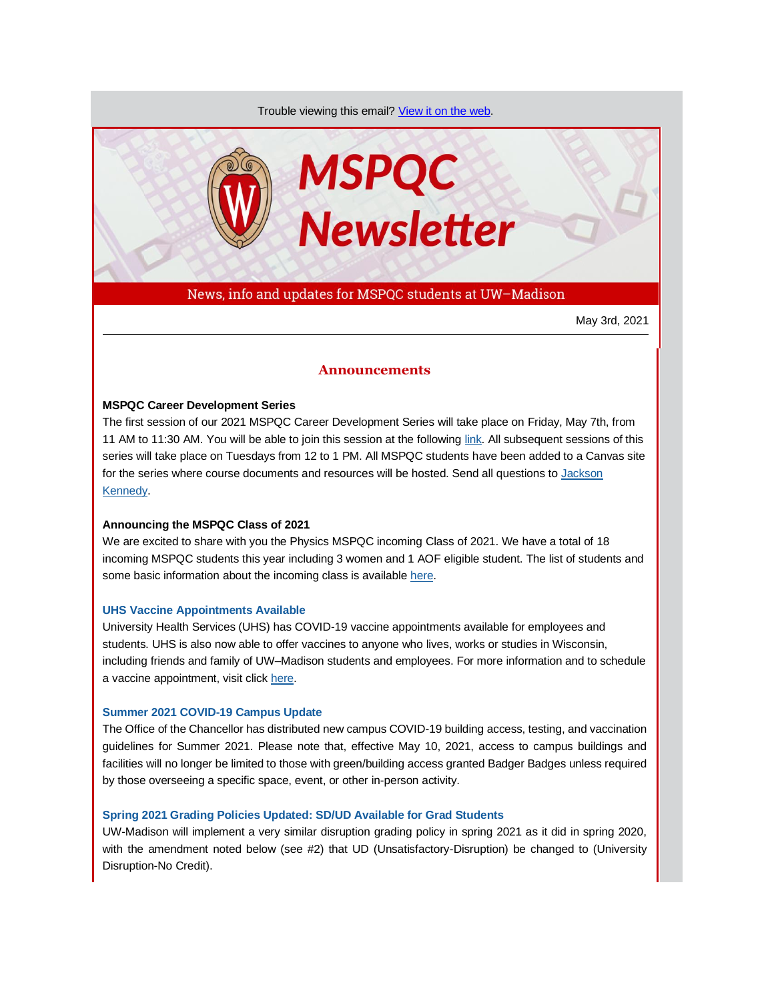Trouble viewing this email? [View it on the web.](https://app.explore.wisc.edu/e/es?s=1427524768&e=706867&elqTrackId=51e861781d16471282f1c296cabd15a9&elq=1f4f17f950804da795ca6111e309ae6f&elqaid=16870&elqat=1)



News, info and updates for MSPQC students at UW–Madison

May 3rd, 2021

# **Announcements**

## **MSPQC Career Development Series**

The first session of our 2021 MSPQC Career Development Series will take place on Friday, May 7th, from 11 AM to 11:30 AM. You will be able to join this session at the followin[g link.](https://app.explore.wisc.edu/e/er?s=1427524768&lid=17653&elqTrackId=311F45981A286C6B1C3D1B8D372BB960&elq=1f4f17f950804da795ca6111e309ae6f&elqaid=16870&elqat=1) All subsequent sessions of this series will take place on Tuesdays from 12 to 1 PM. All MSPQC students have been added to a Canvas site for the series where course documents and resources will be hosted. Send all questions t[o Jackson](mailto:jckennedy3@wisc.edu)  [Kennedy.](mailto:jckennedy3@wisc.edu)

# **Announcing the MSPQC Class of 2021**

We are excited to share with you the Physics MSPQC incoming Class of 2021. We have a total of 18 incoming MSPQC students this year including 3 women and 1 AOF eligible student. The list of students and some basic information about the incoming class is availabl[e here.](https://app.explore.wisc.edu/e/er?s=1427524768&lid=17652&elqTrackId=C1E12421FD5D14DA7E1CF6A20D45AE08&elq=1f4f17f950804da795ca6111e309ae6f&elqaid=16870&elqat=1)

# **[UHS Vaccine Appointments Available](https://app.explore.wisc.edu/e/er?s=1427524768&lid=17528&elqTrackId=BEE78A680482089B9136B57F99BDEE9B&elq=1f4f17f950804da795ca6111e309ae6f&elqaid=16870&elqat=1)**

University Health Services (UHS) has COVID-19 vaccine appointments available for employees and students. UHS is also now able to offer vaccines to anyone who lives, works or studies in Wisconsin, including friends and family of UW–Madison students and employees. For more information and to schedule a vaccine appointment, visit click [here.](https://app.explore.wisc.edu/e/er?s=1427524768&lid=17528&elqTrackId=0F7B3DC31E5ADFC6A1A9C662B20EAA16&elq=1f4f17f950804da795ca6111e309ae6f&elqaid=16870&elqat=1)

# **[Summer 2021 COVID-19 Campus Update](https://app.explore.wisc.edu/e/er?s=1427524768&lid=17191&elqTrackId=1229DC37D5209741A688E69FE4DF8DB4&elq=1f4f17f950804da795ca6111e309ae6f&elqaid=16870&elqat=1)**

The Office of the Chancellor has distributed new campus COVID-19 building access, testing, and vaccination guidelines for Summer 2021. Please note that, effective May 10, 2021, access to campus buildings and facilities will no longer be limited to those with green/building access granted Badger Badges unless required by those overseeing a specific space, event, or other in-person activity.

# **[Spring 2021 Grading Policies Updated: SD/UD Available for Grad Students](https://app.explore.wisc.edu/e/er?s=1427524768&lid=16499&elqTrackId=49DC61538C1EC0D3CC494209C16CA078&elq=1f4f17f950804da795ca6111e309ae6f&elqaid=16870&elqat=1)**

UW-Madison will implement a very similar disruption grading policy in spring 2021 as it did in spring 2020, with the amendment noted below (see #2) that UD (Unsatisfactory-Disruption) be changed to (University Disruption-No Credit).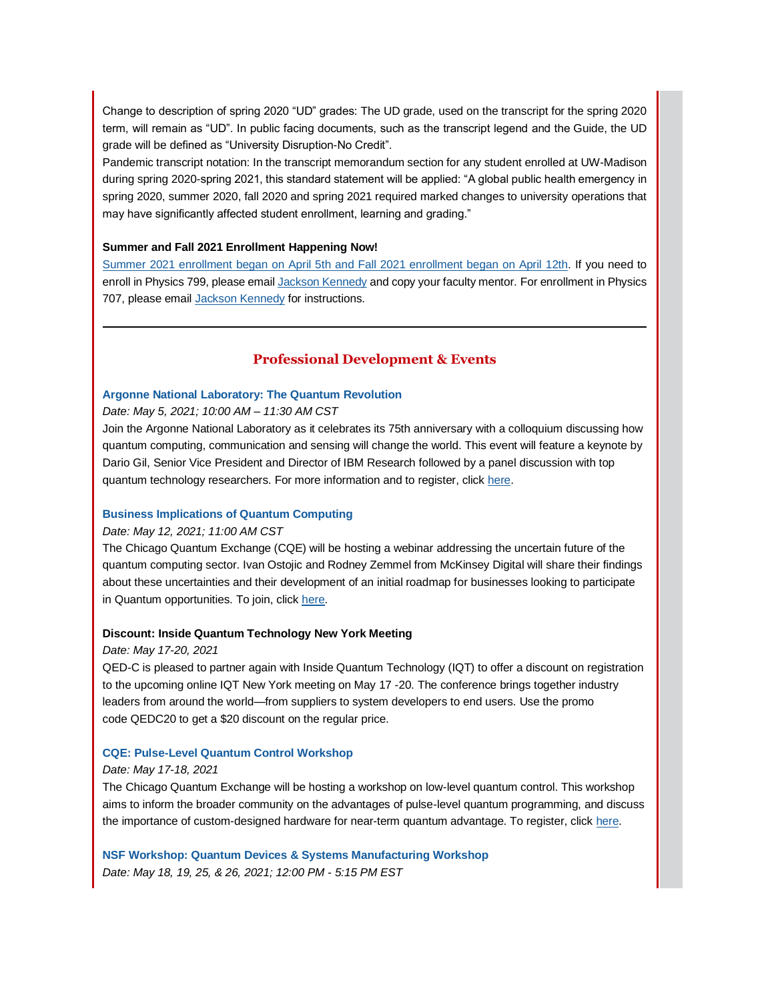Change to description of spring 2020 "UD" grades: The UD grade, used on the transcript for the spring 2020 term, will remain as "UD". In public facing documents, such as the transcript legend and the Guide, the UD grade will be defined as "University Disruption-No Credit".

Pandemic transcript notation: In the transcript memorandum section for any student enrolled at UW-Madison during spring 2020-spring 2021, this standard statement will be applied: "A global public health emergency in spring 2020, summer 2020, fall 2020 and spring 2021 required marked changes to university operations that may have significantly affected student enrollment, learning and grading."

## **Summer and Fall 2021 Enrollment Happening Now!**

[Summer 2021 enrollment began on April 5th and Fall 2021 enrollment began on April 12th.](https://app.explore.wisc.edu/e/er?s=1427524768&lid=1365&elqTrackId=2B97173F03722B5201EB74E0AC7D9EE0&elq=1f4f17f950804da795ca6111e309ae6f&elqaid=16870&elqat=1) If you need to enroll in Physics 799, please emai[l Jackson Kennedy](mailto:jckennedy3@wisc.edu) and copy your faculty mentor. For enrollment in Physics 707, please email [Jackson Kennedy](mailto:jckennedy3@wisc.edu) for instructions.

# **Professional Development & Events**

# **[Argonne National Laboratory: The Quantum Revolution](https://app.explore.wisc.edu/e/er?s=1427524768&lid=16848&elqTrackId=291CCB3C8408146BA9905BE98823D309&elq=1f4f17f950804da795ca6111e309ae6f&elqaid=16870&elqat=1)**

*Date: May 5, 2021; 10:00 AM – 11:30 AM CST*

Join the Argonne National Laboratory as it celebrates its 75th anniversary with a colloquium discussing how quantum computing, communication and sensing will change the world. This event will feature a keynote by Dario Gil, Senior Vice President and Director of IBM Research followed by a panel discussion with top quantum technology researchers. For more information and to register, clic[k here.](https://app.explore.wisc.edu/e/er?s=1427524768&lid=16848&elqTrackId=291CCB3C8408146BA9905BE98823D309&elq=1f4f17f950804da795ca6111e309ae6f&elqaid=16870&elqat=1)

# **[Business Implications of Quantum Computing](https://app.explore.wisc.edu/e/er?s=1427524768&lid=17347&elqTrackId=EB8D0B4172EA400818C04ACD02099271&elq=1f4f17f950804da795ca6111e309ae6f&elqaid=16870&elqat=1)**

# *Date: May 12, 2021; 11:00 AM CST*

The Chicago Quantum Exchange (CQE) will be hosting a webinar addressing the uncertain future of the quantum computing sector. Ivan Ostojic and Rodney Zemmel from McKinsey Digital will share their findings about these uncertainties and their development of an initial roadmap for businesses looking to participate in Quantum opportunities. To join, clic[k here.](https://app.explore.wisc.edu/e/er?s=1427524768&lid=17347&elqTrackId=5F24081A7911341305F5C27F70FB453B&elq=1f4f17f950804da795ca6111e309ae6f&elqaid=16870&elqat=1)

# **Discount: Inside Quantum Technology New York Meeting**

#### *Date: May 17-20, 2021*

QED-C is pleased to partner again with Inside Quantum Technology (IQT) to offer a discount on registration to the upcoming online IQT New York meeting on May 17 -20. The conference brings together industry leaders from around the world—from suppliers to system developers to end users. Use the promo code QEDC20 to get a \$20 discount on the regular price.

#### **[CQE: Pulse-Level Quantum Control Workshop](https://app.explore.wisc.edu/e/er?s=1427524768&lid=17582&elqTrackId=179527C56DE7B9C76FF7BBD8EF947E19&elq=1f4f17f950804da795ca6111e309ae6f&elqaid=16870&elqat=1)**

#### *Date: May 17-18, 2021*

The Chicago Quantum Exchange will be hosting a workshop on low-level quantum control. This workshop aims to inform the broader community on the advantages of pulse-level quantum programming, and discuss the importance of custom-designed hardware for near-term quantum advantage. To register, clic[k here.](https://app.explore.wisc.edu/e/er?s=1427524768&lid=17581&elqTrackId=E3C01B6C26128FBB47B84E5108919940&elq=1f4f17f950804da795ca6111e309ae6f&elqaid=16870&elqat=1)

**[NSF Workshop: Quantum Devices & Systems Manufacturing Workshop](https://app.explore.wisc.edu/e/er?s=1427524768&lid=17348&elqTrackId=BC3CD8300283902BC95BDD63097BF911&elq=1f4f17f950804da795ca6111e309ae6f&elqaid=16870&elqat=1)** *Date: May 18, 19, 25, & 26, 2021; 12:00 PM - 5:15 PM EST*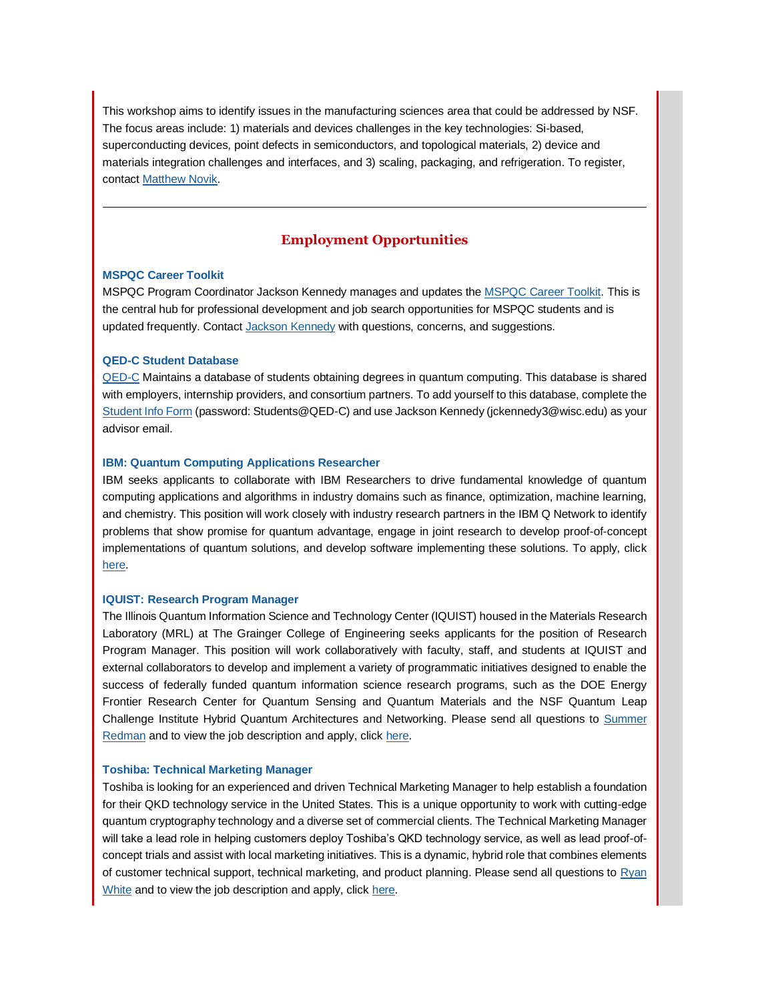This workshop aims to identify issues in the manufacturing sciences area that could be addressed by NSF. The focus areas include: 1) materials and devices challenges in the key technologies: Si-based, superconducting devices, point defects in semiconductors, and topological materials, 2) device and materials integration challenges and interfaces, and 3) scaling, packaging, and refrigeration. To register, contac[t Matthew Novik.](mailto:matthew.novik@duke.edu)

# **Employment Opportunities**

# **[MSPQC Career Toolkit](https://app.explore.wisc.edu/e/er?s=1427524768&lid=16119&elqTrackId=5A49858D7B279578BB1B0FB51CEEA074&elq=1f4f17f950804da795ca6111e309ae6f&elqaid=16870&elqat=1)**

MSPQC Program Coordinator Jackson Kennedy manages and updates the [MSPQC Career Toolkit.](https://app.explore.wisc.edu/e/er?s=1427524768&lid=16119&elqTrackId=09D2E0C03CA2395C49E22DEC7C8591D3&elq=1f4f17f950804da795ca6111e309ae6f&elqaid=16870&elqat=1) This is the central hub for professional development and job search opportunities for MSPQC students and is updated frequently. Contact [Jackson Kennedy](mailto:jckennedy3@wisc.edu) with questions, concerns, and suggestions.

## **[QED-C Student Database](https://app.explore.wisc.edu/e/er?s=1427524768&lid=16143&elqTrackId=3F91B3E99BC944A98E92AF38D30E52E3&elq=1f4f17f950804da795ca6111e309ae6f&elqaid=16870&elqat=1)**

[QED-C](https://app.explore.wisc.edu/e/er?s=1427524768&lid=16144&elqTrackId=A9AB285BA5BE3DC678F7230E21B22D08&elq=1f4f17f950804da795ca6111e309ae6f&elqaid=16870&elqat=1) Maintains a database of students obtaining degrees in quantum computing. This database is shared with employers, internship providers, and consortium partners. To add yourself to this database, complete the [Student Info Form](https://app.explore.wisc.edu/e/er?s=1427524768&lid=16143&elqTrackId=4394A173A56EFED3F138143AA6462B62&elq=1f4f17f950804da795ca6111e309ae6f&elqaid=16870&elqat=1) (password: Students@QED-C) and use Jackson Kennedy (jckennedy3@wisc.edu) as your advisor email.

# **[IBM: Quantum Computing Applications Researcher](https://app.explore.wisc.edu/e/er?s=1427524768&lid=17596&elqTrackId=2403C6EF6753CD7E4394303EF8743FAA&elq=1f4f17f950804da795ca6111e309ae6f&elqaid=16870&elqat=1)**

IBM seeks applicants to collaborate with IBM Researchers to drive fundamental knowledge of quantum computing applications and algorithms in industry domains such as finance, optimization, machine learning, and chemistry. This position will work closely with industry research partners in the IBM Q Network to identify problems that show promise for quantum advantage, engage in joint research to develop proof-of-concept implementations of quantum solutions, and develop software implementing these solutions. To apply, click [here.](https://app.explore.wisc.edu/e/er?s=1427524768&lid=17596&elqTrackId=C1E031904670A69F4FB4EEAFEBE2C64E&elq=1f4f17f950804da795ca6111e309ae6f&elqaid=16870&elqat=1)

## **[IQUIST: Research Program Manager](https://app.explore.wisc.edu/e/er?s=1427524768&lid=17591&elqTrackId=3DF67B26BC919CEDBB10E0FCA72509EB&elq=1f4f17f950804da795ca6111e309ae6f&elqaid=16870&elqat=1)**

The Illinois Quantum Information Science and Technology Center (IQUIST) housed in the Materials Research Laboratory (MRL) at The Grainger College of Engineering seeks applicants for the position of Research Program Manager. This position will work collaboratively with faculty, staff, and students at IQUIST and external collaborators to develop and implement a variety of programmatic initiatives designed to enable the success of federally funded quantum information science research programs, such as the DOE Energy Frontier Research Center for Quantum Sensing and Quantum Materials and the NSF Quantum Leap Challenge Institute Hybrid Quantum Architectures and Networking. Please send all questions to Summer [Redman](mailto:sredman@illinois.edu) and to view the job description and apply, click [here.](https://app.explore.wisc.edu/e/er?s=1427524768&lid=17591&elqTrackId=32C41F327E6B34B039AB16E233145DBA&elq=1f4f17f950804da795ca6111e309ae6f&elqaid=16870&elqat=1)

## **[Toshiba: Technical Marketing Manager](https://app.explore.wisc.edu/e/er?s=1427524768&lid=17594&elqTrackId=7C1CC5F852BD90C03DD9B92B290DC478&elq=1f4f17f950804da795ca6111e309ae6f&elqaid=16870&elqat=1)**

Toshiba is looking for an experienced and driven Technical Marketing Manager to help establish a foundation for their QKD technology service in the United States. This is a unique opportunity to work with cutting-edge quantum cryptography technology and a diverse set of commercial clients. The Technical Marketing Manager will take a lead role in helping customers deploy Toshiba's QKD technology service, as well as lead proof-ofconcept trials and assist with local marketing initiatives. This is a dynamic, hybrid role that combines elements of customer technical support, technical marketing, and product planning. Please send all questions t[o Ryan](mailto:ryan.white@toshiba.com)  [White](mailto:ryan.white@toshiba.com) and to view the job description and apply, click [here.](https://app.explore.wisc.edu/e/er?s=1427524768&lid=17594&elqTrackId=3ADB00D1C03E501CB97B875E7FCEC221&elq=1f4f17f950804da795ca6111e309ae6f&elqaid=16870&elqat=1)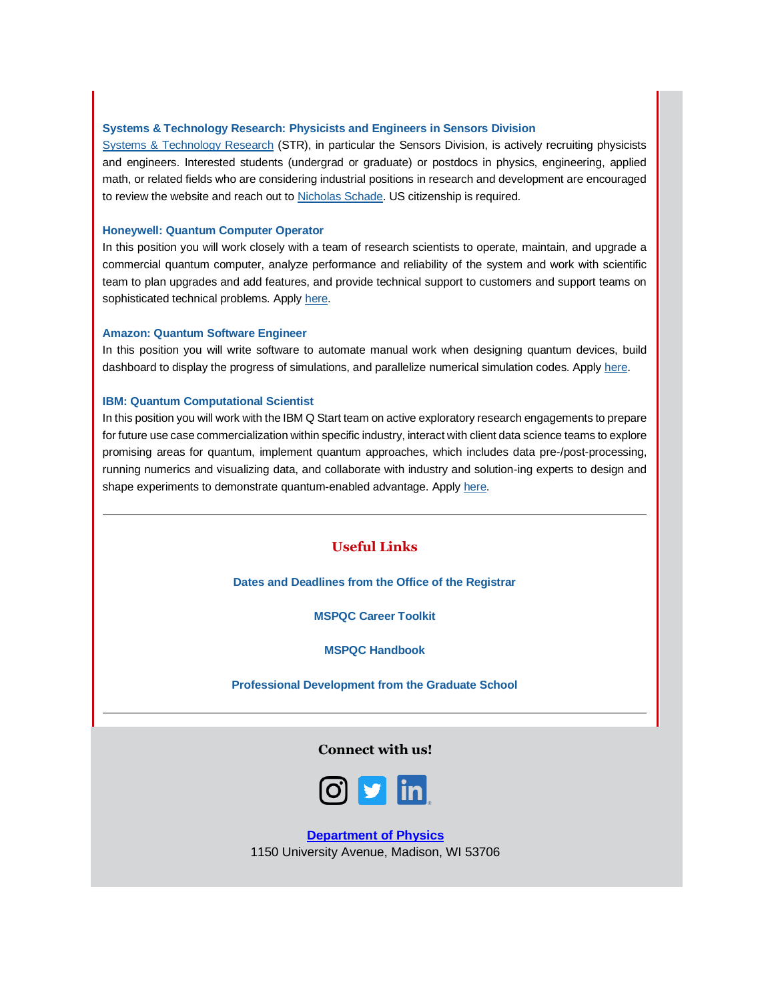# **[Systems & Technology Research: Physicists and Engineers in Sensors Division](https://app.explore.wisc.edu/e/er?s=1427524768&lid=16321&elqTrackId=EFA8A61BFF8304417BBD3010DAE9C78F&elq=1f4f17f950804da795ca6111e309ae6f&elqaid=16870&elqat=1)**

[Systems & Technology Research](https://app.explore.wisc.edu/e/er?s=1427524768&lid=16321&elqTrackId=FBD2C69E5BDAA13F696A7F2283605A17&elq=1f4f17f950804da795ca6111e309ae6f&elqaid=16870&elqat=1) (STR), in particular the Sensors Division, is actively recruiting physicists and engineers. Interested students (undergrad or graduate) or postdocs in physics, engineering, applied math, or related fields who are considering industrial positions in research and development are encouraged to review the website and reach out t[o Nicholas Schade.](mailto:nicholas.schade@stresearch.com) US citizenship is required.

## **[Honeywell: Quantum Computer Operator](https://app.explore.wisc.edu/e/er?s=1427524768&lid=16324&elqTrackId=6C53759DAC0A58481830990FC394047C&elq=1f4f17f950804da795ca6111e309ae6f&elqaid=16870&elqat=1)**

In this position you will work closely with a team of research scientists to operate, maintain, and upgrade a commercial quantum computer, analyze performance and reliability of the system and work with scientific team to plan upgrades and add features, and provide technical support to customers and support teams on sophisticated technical problems. Apply [here.](https://app.explore.wisc.edu/e/er?s=1427524768&lid=16324&elqTrackId=55580D60D0A8AB4185F0A6AA4A0ECDC4&elq=1f4f17f950804da795ca6111e309ae6f&elqaid=16870&elqat=1)

# **[Amazon: Quantum Software Engineer](https://app.explore.wisc.edu/e/er?s=1427524768&lid=16323&elqTrackId=ECF7B4B48EB77BA23BF53FBC56A7900E&elq=1f4f17f950804da795ca6111e309ae6f&elqaid=16870&elqat=1)**

In this position you will write software to automate manual work when designing quantum devices, build dashboard to display the progress of simulations, and parallelize numerical simulation codes. Apply [here.](https://app.explore.wisc.edu/e/er?s=1427524768&lid=16323&elqTrackId=0759E7B31345A790E828654C1D4005E1&elq=1f4f17f950804da795ca6111e309ae6f&elqaid=16870&elqat=1)

# **[IBM: Quantum Computational Scientist](https://app.explore.wisc.edu/e/er?s=1427524768&lid=16325&elqTrackId=931C365F872D0F83CAA9B9537517FEFE&elq=1f4f17f950804da795ca6111e309ae6f&elqaid=16870&elqat=1)**

In this position you will work with the IBM Q Start team on active exploratory research engagements to prepare for future use case commercialization within specific industry, interact with client data science teams to explore promising areas for quantum, implement quantum approaches, which includes data pre-/post-processing, running numerics and visualizing data, and collaborate with industry and solution-ing experts to design and shape experiments to demonstrate quantum-enabled advantage. Appl[y here.](https://app.explore.wisc.edu/e/er?s=1427524768&lid=16325&elqTrackId=FABD6C10C4C626F8C9C039AE87A636B4&elq=1f4f17f950804da795ca6111e309ae6f&elqaid=16870&elqat=1)

# **Useful Links**

**[Dates and Deadlines from the Office of the Registrar](https://app.explore.wisc.edu/e/er?s=1427524768&lid=1365&elqTrackId=9F7CF11D41CFC86F42F0B251EF4C3AA3&elq=1f4f17f950804da795ca6111e309ae6f&elqaid=16870&elqat=1)**

**[MSPQC Career Toolkit](https://app.explore.wisc.edu/e/er?s=1427524768&lid=16119&elqTrackId=44063AC561D1491B87B4E1D97C486B23&elq=1f4f17f950804da795ca6111e309ae6f&elqaid=16870&elqat=1)**

**[MSPQC Handbook](https://app.explore.wisc.edu/e/er?s=1427524768&lid=16142&elqTrackId=D3012C7C1F06874F1068EB236237F873&elq=1f4f17f950804da795ca6111e309ae6f&elqaid=16870&elqat=1)**

**[Professional Development from the Graduate School](https://app.explore.wisc.edu/e/er?s=1427524768&lid=784&elqTrackId=C3B3DF7E7308B92BA2160734CA9765E5&elq=1f4f17f950804da795ca6111e309ae6f&elqaid=16870&elqat=1)**

# **Connect with us!**



**[Department of Physics](https://www.physics.wisc.edu/?elqTrackId=03b6559dff704aa6878488e032f86c70&elq=1f4f17f950804da795ca6111e309ae6f&elqaid=16870&elqat=1&elqCampaignId=9982)** 1150 University Avenue, Madison, WI 53706